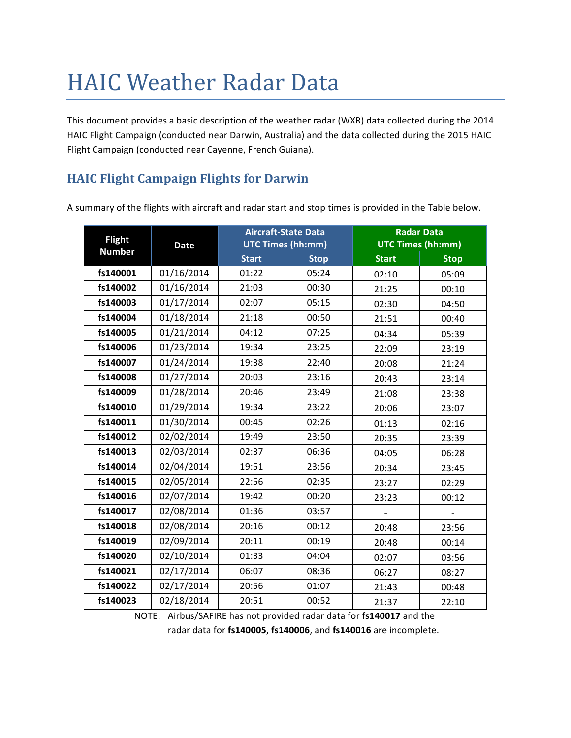# **HAIC Weather Radar Data**

This document provides a basic description of the weather radar (WXR) data collected during the 2014 HAIC Flight Campaign (conducted near Darwin, Australia) and the data collected during the 2015 HAIC Flight Campaign (conducted near Cayenne, French Guiana).

# **HAIC Flight Campaign Flights for Darwin**

A summary of the flights with aircraft and radar start and stop times is provided in the Table below.

| <b>Flight</b> | <b>Date</b> | <b>Aircraft-State Data</b> |             | <b>Radar Data</b>        |             |
|---------------|-------------|----------------------------|-------------|--------------------------|-------------|
| <b>Number</b> |             | <b>UTC Times (hh:mm)</b>   |             | <b>UTC Times (hh:mm)</b> |             |
|               |             | <b>Start</b>               | <b>Stop</b> | <b>Start</b>             | <b>Stop</b> |
| fs140001      | 01/16/2014  | 01:22                      | 05:24       | 02:10                    | 05:09       |
| fs140002      | 01/16/2014  | 21:03                      | 00:30       | 21:25                    | 00:10       |
| fs140003      | 01/17/2014  | 02:07                      | 05:15       | 02:30                    | 04:50       |
| fs140004      | 01/18/2014  | 21:18                      | 00:50       | 21:51                    | 00:40       |
| fs140005      | 01/21/2014  | 04:12                      | 07:25       | 04:34                    | 05:39       |
| fs140006      | 01/23/2014  | 19:34                      | 23:25       | 22:09                    | 23:19       |
| fs140007      | 01/24/2014  | 19:38                      | 22:40       | 20:08                    | 21:24       |
| fs140008      | 01/27/2014  | 20:03                      | 23:16       | 20:43                    | 23:14       |
| fs140009      | 01/28/2014  | 20:46                      | 23:49       | 21:08                    | 23:38       |
| fs140010      | 01/29/2014  | 19:34                      | 23:22       | 20:06                    | 23:07       |
| fs140011      | 01/30/2014  | 00:45                      | 02:26       | 01:13                    | 02:16       |
| fs140012      | 02/02/2014  | 19:49                      | 23:50       | 20:35                    | 23:39       |
| fs140013      | 02/03/2014  | 02:37                      | 06:36       | 04:05                    | 06:28       |
| fs140014      | 02/04/2014  | 19:51                      | 23:56       | 20:34                    | 23:45       |
| fs140015      | 02/05/2014  | 22:56                      | 02:35       | 23:27                    | 02:29       |
| fs140016      | 02/07/2014  | 19:42                      | 00:20       | 23:23                    | 00:12       |
| fs140017      | 02/08/2014  | 01:36                      | 03:57       |                          |             |
| fs140018      | 02/08/2014  | 20:16                      | 00:12       | 20:48                    | 23:56       |
| fs140019      | 02/09/2014  | 20:11                      | 00:19       | 20:48                    | 00:14       |
| fs140020      | 02/10/2014  | 01:33                      | 04:04       | 02:07                    | 03:56       |
| fs140021      | 02/17/2014  | 06:07                      | 08:36       | 06:27                    | 08:27       |
| fs140022      | 02/17/2014  | 20:56                      | 01:07       | 21:43                    | 00:48       |
| fs140023      | 02/18/2014  | 20:51                      | 00:52       | 21:37                    | 22:10       |

NOTE: Airbus/SAFIRE has not provided radar data for fs140017 and the

radar data for fs140005, fs140006, and fs140016 are incomplete.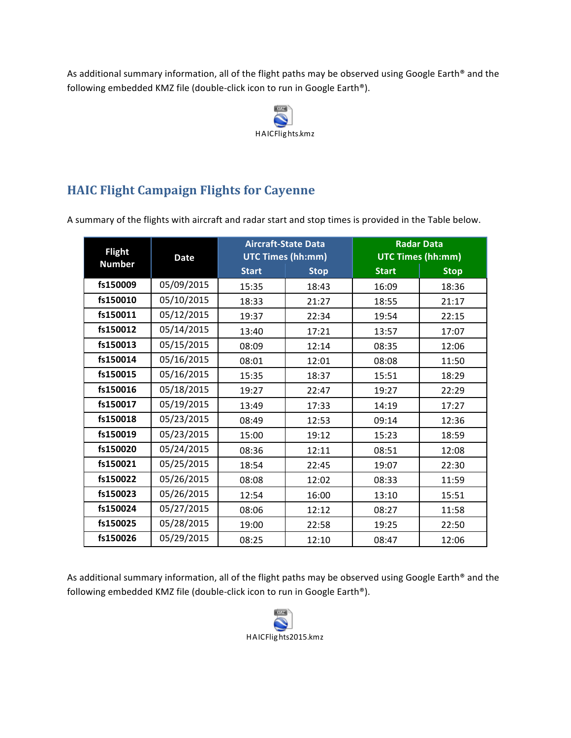As additional summary information, all of the flight paths may be observed using Google Earth® and the following embedded KMZ file (double-click icon to run in Google Earth®).



# **HAIC Flight Campaign Flights for Cayenne**

A summary of the flights with aircraft and radar start and stop times is provided in the Table below.

| <b>Flight</b><br><b>Number</b> | <b>Date</b> | <b>Aircraft-State Data</b><br><b>UTC Times (hh:mm)</b> |             | <b>Radar Data</b><br><b>UTC Times (hh:mm)</b> |             |
|--------------------------------|-------------|--------------------------------------------------------|-------------|-----------------------------------------------|-------------|
|                                |             | <b>Start</b>                                           | <b>Stop</b> | <b>Start</b>                                  | <b>Stop</b> |
| fs150009                       | 05/09/2015  | 15:35                                                  | 18:43       | 16:09                                         | 18:36       |
| fs150010                       | 05/10/2015  | 18:33                                                  | 21:27       | 18:55                                         | 21:17       |
| fs150011                       | 05/12/2015  | 19:37                                                  | 22:34       | 19:54                                         | 22:15       |
| fs150012                       | 05/14/2015  | 13:40                                                  | 17:21       | 13:57                                         | 17:07       |
| fs150013                       | 05/15/2015  | 08:09                                                  | 12:14       | 08:35                                         | 12:06       |
| fs150014                       | 05/16/2015  | 08:01                                                  | 12:01       | 08:08                                         | 11:50       |
| fs150015                       | 05/16/2015  | 15:35                                                  | 18:37       | 15:51                                         | 18:29       |
| fs150016                       | 05/18/2015  | 19:27                                                  | 22:47       | 19:27                                         | 22:29       |
| fs150017                       | 05/19/2015  | 13:49                                                  | 17:33       | 14:19                                         | 17:27       |
| fs150018                       | 05/23/2015  | 08:49                                                  | 12:53       | 09:14                                         | 12:36       |
| fs150019                       | 05/23/2015  | 15:00                                                  | 19:12       | 15:23                                         | 18:59       |
| fs150020                       | 05/24/2015  | 08:36                                                  | 12:11       | 08:51                                         | 12:08       |
| fs150021                       | 05/25/2015  | 18:54                                                  | 22:45       | 19:07                                         | 22:30       |
| fs150022                       | 05/26/2015  | 08:08                                                  | 12:02       | 08:33                                         | 11:59       |
| fs150023                       | 05/26/2015  | 12:54                                                  | 16:00       | 13:10                                         | 15:51       |
| fs150024                       | 05/27/2015  | 08:06                                                  | 12:12       | 08:27                                         | 11:58       |
| fs150025                       | 05/28/2015  | 19:00                                                  | 22:58       | 19:25                                         | 22:50       |
| fs150026                       | 05/29/2015  | 08:25                                                  | 12:10       | 08:47                                         | 12:06       |

As additional summary information, all of the flight paths may be observed using Google Earth® and the following embedded KMZ file (double-click icon to run in Google Earth®).

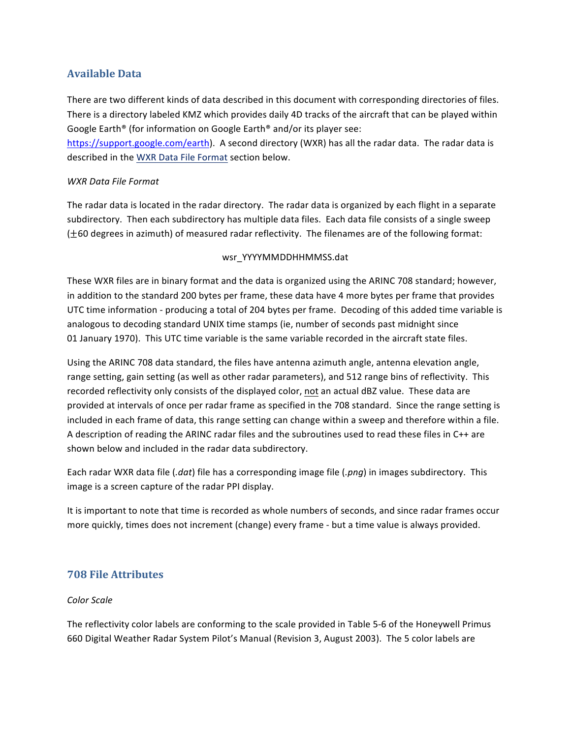# **Available Data**

There are two different kinds of data described in this document with corresponding directories of files. There is a directory labeled KMZ which provides daily 4D tracks of the aircraft that can be played within Google Earth<sup>®</sup> (for information on Google Earth<sup>®</sup> and/or its player see:

https://support.google.com/earth). A second directory (WXR) has all the radar data. The radar data is described in the WXR Data File Format section below.

### *WXR Data File Format*

The radar data is located in the radar directory. The radar data is organized by each flight in a separate subdirectory. Then each subdirectory has multiple data files. Each data file consists of a single sweep  $(±60$  degrees in azimuth) of measured radar reflectivity. The filenames are of the following format:

### wsr\_YYYYMMDDHHMMSS.dat

These WXR files are in binary format and the data is organized using the ARINC 708 standard; however, in addition to the standard 200 bytes per frame, these data have 4 more bytes per frame that provides UTC time information - producing a total of 204 bytes per frame. Decoding of this added time variable is analogous to decoding standard UNIX time stamps (ie, number of seconds past midnight since 01 January 1970). This UTC time variable is the same variable recorded in the aircraft state files.

Using the ARINC 708 data standard, the files have antenna azimuth angle, antenna elevation angle, range setting, gain setting (as well as other radar parameters), and 512 range bins of reflectivity. This recorded reflectivity only consists of the displayed color, not an actual dBZ value. These data are provided at intervals of once per radar frame as specified in the 708 standard. Since the range setting is included in each frame of data, this range setting can change within a sweep and therefore within a file. A description of reading the ARINC radar files and the subroutines used to read these files in C++ are shown below and included in the radar data subdirectory.

Each radar WXR data file (.dat) file has a corresponding image file (.png) in images subdirectory. This image is a screen capture of the radar PPI display.

It is important to note that time is recorded as whole numbers of seconds, and since radar frames occur more quickly, times does not increment (change) every frame - but a time value is always provided.

## **708 File Attributes**

#### *Color Scale*

The reflectivity color labels are conforming to the scale provided in Table 5-6 of the Honeywell Primus 660 Digital Weather Radar System Pilot's Manual (Revision 3, August 2003). The 5 color labels are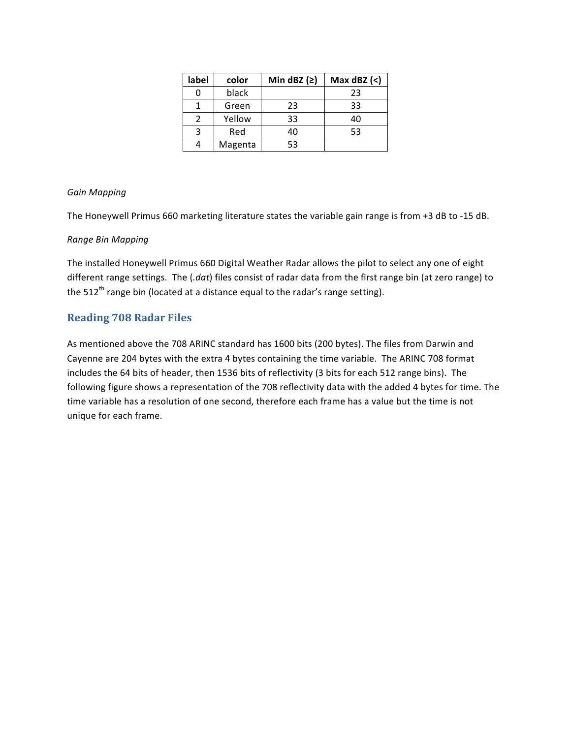| label | color   | Min dBZ $(2)$ | Max $dBZ$ (<) |  |
|-------|---------|---------------|---------------|--|
| 0     | black   |               | 23            |  |
|       | Green   | 23            | 33            |  |
| 2     | Yellow  | 33            | 40            |  |
| 3     | Red     | 40            | 53            |  |
| 4     | Magenta | 53            |               |  |

### *Gain Mapping*

The Honeywell Primus 660 marketing literature states the variable gain range is from +3 dB to -15 dB.

#### *Range Bin Mapping*

The installed Honeywell Primus 660 Digital Weather Radar allows the pilot to select any one of eight different range settings. The (.dat) files consist of radar data from the first range bin (at zero range) to the  $512<sup>th</sup>$  range bin (located at a distance equal to the radar's range setting).

## **Reading 708 Radar Files**

As mentioned above the 708 ARINC standard has 1600 bits (200 bytes). The files from Darwin and Cayenne are 204 bytes with the extra 4 bytes containing the time variable. The ARINC 708 format includes the 64 bits of header, then 1536 bits of reflectivity (3 bits for each 512 range bins). The following figure shows a representation of the 708 reflectivity data with the added 4 bytes for time. The time variable has a resolution of one second, therefore each frame has a value but the time is not unique for each frame.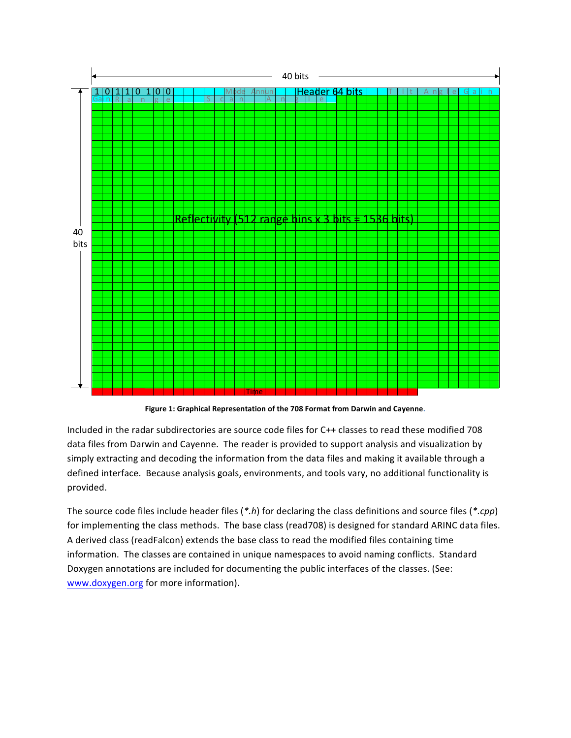

Figure 1: Graphical Representation of the 708 Format from Darwin and Cayenne.

Included in the radar subdirectories are source code files for C++ classes to read these modified 708 data files from Darwin and Cayenne. The reader is provided to support analysis and visualization by simply extracting and decoding the information from the data files and making it available through a defined interface. Because analysis goals, environments, and tools vary, no additional functionality is provided.

The source code files include header files (*\*.h*) for declaring the class definitions and source files (*\*.cpp*) for implementing the class methods. The base class (read708) is designed for standard ARINC data files. A derived class (readFalcon) extends the base class to read the modified files containing time information. The classes are contained in unique namespaces to avoid naming conflicts. Standard Doxygen annotations are included for documenting the public interfaces of the classes. (See: www.doxygen.org for more information).